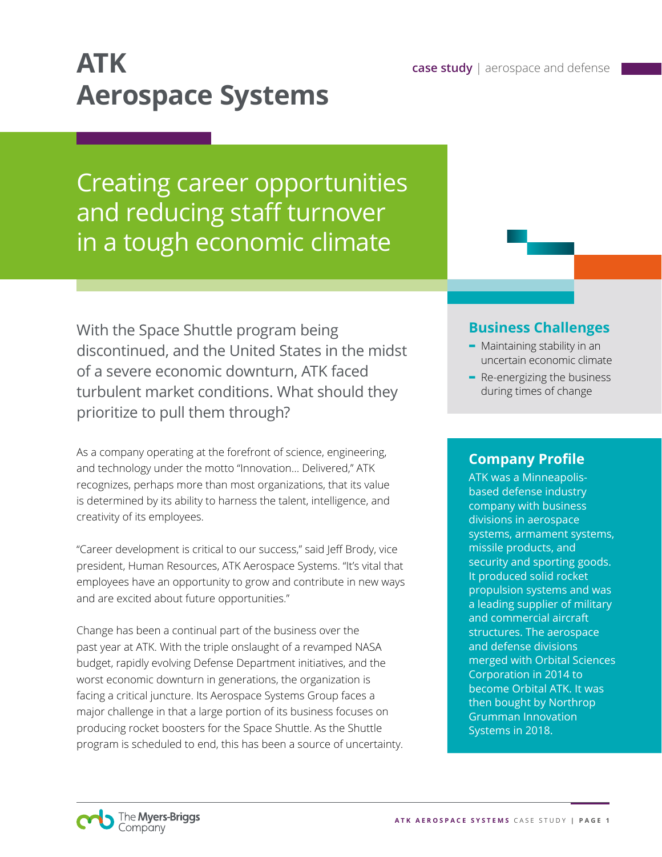# **ATK case study** | aerospace and defense **Aerospace Systems**

## Creating career opportunities and reducing staff turnover in a tough economic climate

With the Space Shuttle program being discontinued, and the United States in the midst of a severe economic downturn, ATK faced turbulent market conditions. What should they prioritize to pull them through?

As a company operating at the forefront of science, engineering, and technology under the motto "Innovation… Delivered," ATK recognizes, perhaps more than most organizations, that its value is determined by its ability to harness the talent, intelligence, and creativity of its employees.

"Career development is critical to our success," said Jeff Brody, vice president, Human Resources, ATK Aerospace Systems. "It's vital that employees have an opportunity to grow and contribute in new ways and are excited about future opportunities."

Change has been a continual part of the business over the past year at ATK. With the triple onslaught of a revamped NASA budget, rapidly evolving Defense Department initiatives, and the worst economic downturn in generations, the organization is facing a critical juncture. Its Aerospace Systems Group faces a major challenge in that a large portion of its business focuses on producing rocket boosters for the Space Shuttle. As the Shuttle program is scheduled to end, this has been a source of uncertainty.

### **Business Challenges**

- **-** Maintaining stability in an uncertain economic climate
- **-** Re-energizing the business during times of change

### **Company Profile**

ATK was a Minneapolisbased defense industry company with business divisions in aerospace systems, armament systems, missile products, and security and sporting goods. It produced solid rocket propulsion systems and was a leading supplier of military and commercial aircraft structures. The aerospace and defense divisions merged with Orbital Sciences Corporation in 2014 to become Orbital ATK. It was then bought by Northrop Grumman Innovation Systems in 2018.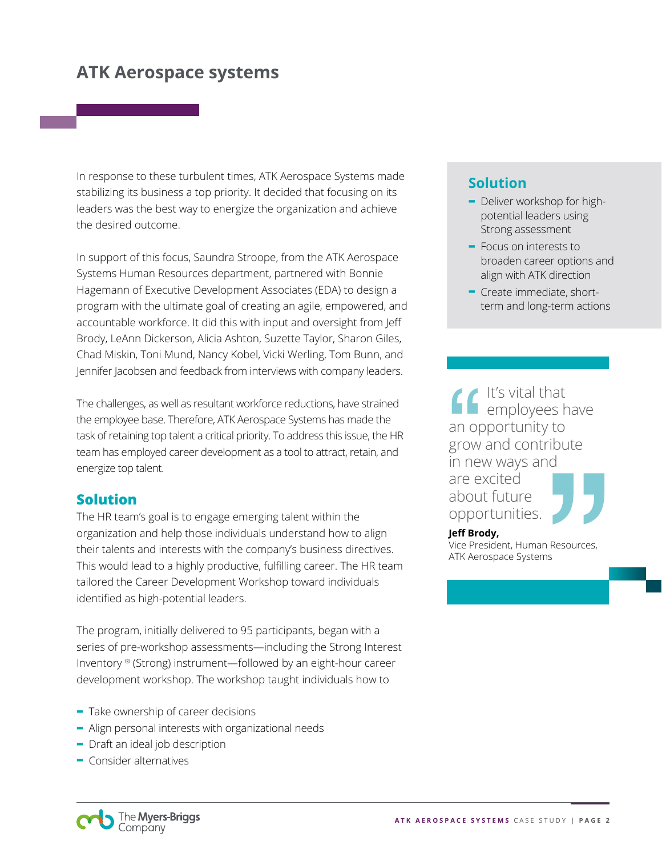In response to these turbulent times, ATK Aerospace Systems made stabilizing its business a top priority. It decided that focusing on its leaders was the best way to energize the organization and achieve the desired outcome.

In support of this focus, Saundra Stroope, from the ATK Aerospace Systems Human Resources department, partnered with Bonnie Hagemann of Executive Development Associates (EDA) to design a program with the ultimate goal of creating an agile, empowered, and accountable workforce. It did this with input and oversight from Jeff Brody, LeAnn Dickerson, Alicia Ashton, Suzette Taylor, Sharon Giles, Chad Miskin, Toni Mund, Nancy Kobel, Vicki Werling, Tom Bunn, and Jennifer Jacobsen and feedback from interviews with company leaders.

The challenges, as well as resultant workforce reductions, have strained the employee base. Therefore, ATK Aerospace Systems has made the task of retaining top talent a critical priority. To address this issue, the HR team has employed career development as a tool to attract, retain, and energize top talent.

#### **Solution**

The HR team's goal is to engage emerging talent within the organization and help those individuals understand how to align their talents and interests with the company's business directives. This would lead to a highly productive, fulfilling career. The HR team tailored the Career Development Workshop toward individuals identified as high-potential leaders.

The program, initially delivered to 95 participants, began with a series of pre-workshop assessments—including the Strong Interest Inventory ® (Strong) instrument—followed by an eight-hour career development workshop. The workshop taught individuals how to

- **-** Take ownership of career decisions
- **-** Align personal interests with organizational needs
- **-** Draft an ideal job description
- **-** Consider alternatives

### **Solution**

- **-** Deliver workshop for highpotential leaders using Strong assessment
- **-** Focus on interests to broaden career options and align with ATK direction
- **-** Create immediate, shortterm and long-term actions

It's vital that **L** employees have an opportunity to grow and contribute in new ways and are excited about future opportunities.

#### **Jeff Brody,**

Vice President, Human Resources, ATK Aerospace Systems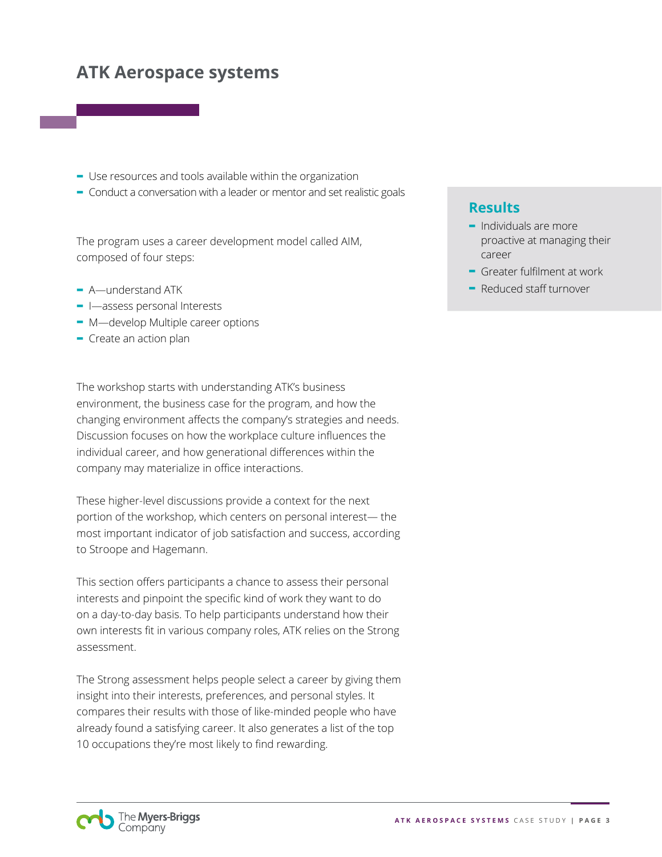- **-** Use resources and tools available within the organization
- **-** Conduct a conversation with a leader or mentor and set realistic goals

The program uses a career development model called AIM, composed of four steps:

- **-** A—understand ATK
- **-** I—assess personal Interests
- **-** M—develop Multiple career options
- **-** Create an action plan

The workshop starts with understanding ATK's business environment, the business case for the program, and how the changing environment affects the company's strategies and needs. Discussion focuses on how the workplace culture influences the individual career, and how generational differences within the company may materialize in office interactions.

These higher-level discussions provide a context for the next portion of the workshop, which centers on personal interest— the most important indicator of job satisfaction and success, according to Stroope and Hagemann.

This section offers participants a chance to assess their personal interests and pinpoint the specific kind of work they want to do on a day-to-day basis. To help participants understand how their own interests fit in various company roles, ATK relies on the Strong assessment.

The Strong assessment helps people select a career by giving them insight into their interests, preferences, and personal styles. It compares their results with those of like-minded people who have already found a satisfying career. It also generates a list of the top 10 occupations they're most likely to find rewarding.

#### **Results**

- **-** Individuals are more proactive at managing their career
- **-** Greater fulfilment at work
- **-** Reduced staff turnover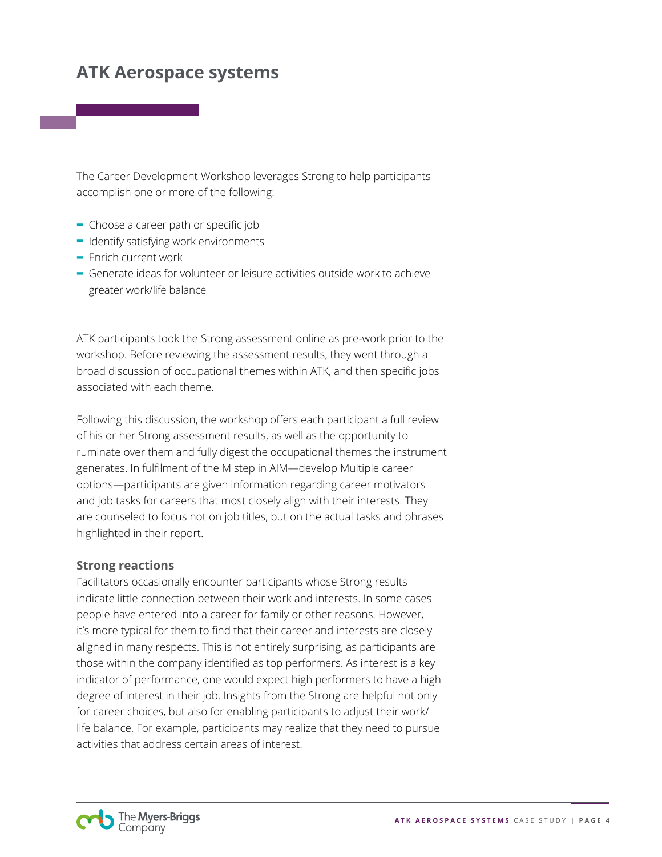The Career Development Workshop leverages Strong to help participants accomplish one or more of the following:

- **-** Choose a career path or specific job
- **-** Identify satisfying work environments
- **-** Enrich current work
- **-** Generate ideas for volunteer or leisure activities outside work to achieve greater work/life balance

ATK participants took the Strong assessment online as pre-work prior to the workshop. Before reviewing the assessment results, they went through a broad discussion of occupational themes within ATK, and then specific jobs associated with each theme.

Following this discussion, the workshop offers each participant a full review of his or her Strong assessment results, as well as the opportunity to ruminate over them and fully digest the occupational themes the instrument generates. In fulfilment of the M step in AIM—develop Multiple career options—participants are given information regarding career motivators and job tasks for careers that most closely align with their interests. They are counseled to focus not on job titles, but on the actual tasks and phrases highlighted in their report.

#### **Strong reactions**

Facilitators occasionally encounter participants whose Strong results indicate little connection between their work and interests. In some cases people have entered into a career for family or other reasons. However, it's more typical for them to find that their career and interests are closely aligned in many respects. This is not entirely surprising, as participants are those within the company identified as top performers. As interest is a key indicator of performance, one would expect high performers to have a high degree of interest in their job. Insights from the Strong are helpful not only for career choices, but also for enabling participants to adjust their work/ life balance. For example, participants may realize that they need to pursue activities that address certain areas of interest.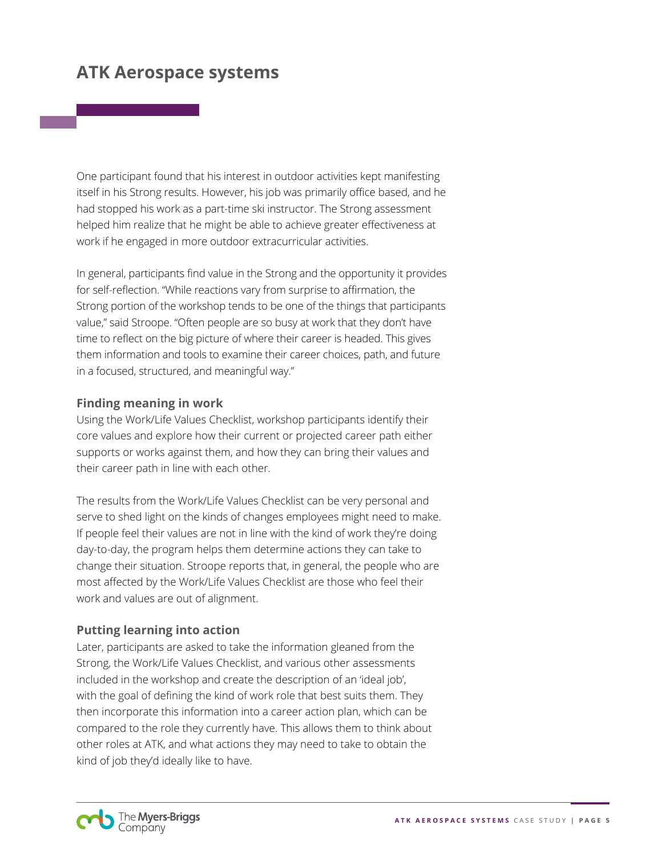One participant found that his interest in outdoor activities kept manifesting itself in his Strong results. However, his job was primarily office based, and he had stopped his work as a part-time ski instructor. The Strong assessment helped him realize that he might be able to achieve greater effectiveness at work if he engaged in more outdoor extracurricular activities.

In general, participants find value in the Strong and the opportunity it provides for self-reflection. "While reactions vary from surprise to affirmation, the Strong portion of the workshop tends to be one of the things that participants value," said Stroope. "Often people are so busy at work that they don't have time to reflect on the big picture of where their career is headed. This gives them information and tools to examine their career choices, path, and future in a focused, structured, and meaningful way."

#### **Finding meaning in work**

Using the Work/Life Values Checklist, workshop participants identify their core values and explore how their current or projected career path either supports or works against them, and how they can bring their values and their career path in line with each other.

The results from the Work/Life Values Checklist can be very personal and serve to shed light on the kinds of changes employees might need to make. If people feel their values are not in line with the kind of work they're doing day-to-day, the program helps them determine actions they can take to change their situation. Stroope reports that, in general, the people who are most affected by the Work/Life Values Checklist are those who feel their work and values are out of alignment.

#### **Putting learning into action**

Later, participants are asked to take the information gleaned from the Strong, the Work/Life Values Checklist, and various other assessments included in the workshop and create the description of an 'ideal job', with the goal of defining the kind of work role that best suits them. They then incorporate this information into a career action plan, which can be compared to the role they currently have. This allows them to think about other roles at ATK, and what actions they may need to take to obtain the kind of job they'd ideally like to have.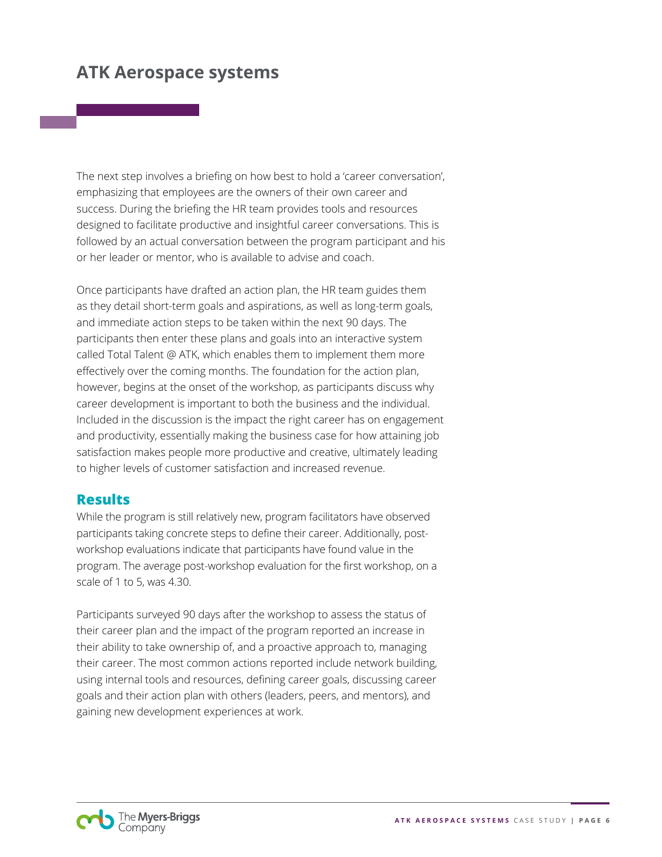The next step involves a briefing on how best to hold a 'career conversation', emphasizing that employees are the owners of their own career and success. During the briefing the HR team provides tools and resources designed to facilitate productive and insightful career conversations. This is followed by an actual conversation between the program participant and his or her leader or mentor, who is available to advise and coach.

Once participants have drafted an action plan, the HR team guides them as they detail short-term goals and aspirations, as well as long-term goals, and immediate action steps to be taken within the next 90 days. The participants then enter these plans and goals into an interactive system called Total Talent @ ATK, which enables them to implement them more effectively over the coming months. The foundation for the action plan, however, begins at the onset of the workshop, as participants discuss why career development is important to both the business and the individual. Included in the discussion is the impact the right career has on engagement and productivity, essentially making the business case for how attaining job satisfaction makes people more productive and creative, ultimately leading to higher levels of customer satisfaction and increased revenue.

#### **Results**

While the program is still relatively new, program facilitators have observed participants taking concrete steps to define their career. Additionally, postworkshop evaluations indicate that participants have found value in the program. The average post-workshop evaluation for the first workshop, on a scale of 1 to 5, was 4.30.

Participants surveyed 90 days after the workshop to assess the status of their career plan and the impact of the program reported an increase in their ability to take ownership of, and a proactive approach to, managing their career. The most common actions reported include network building, using internal tools and resources, defining career goals, discussing career goals and their action plan with others (leaders, peers, and mentors), and gaining new development experiences at work.

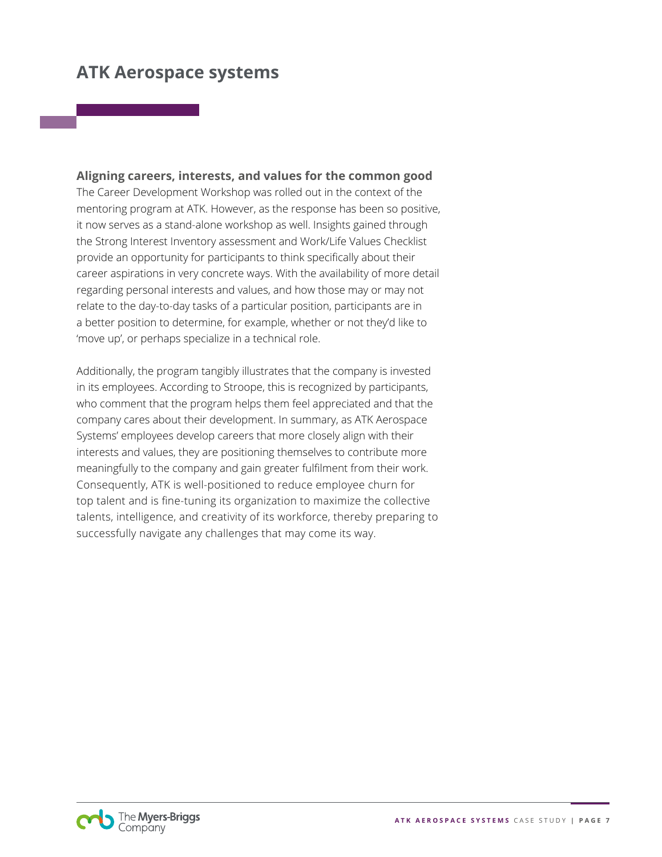**Aligning careers, interests, and values for the common good** The Career Development Workshop was rolled out in the context of the mentoring program at ATK. However, as the response has been so positive, it now serves as a stand-alone workshop as well. Insights gained through the Strong Interest Inventory assessment and Work/Life Values Checklist provide an opportunity for participants to think specifically about their career aspirations in very concrete ways. With the availability of more detail regarding personal interests and values, and how those may or may not relate to the day-to-day tasks of a particular position, participants are in a better position to determine, for example, whether or not they'd like to 'move up', or perhaps specialize in a technical role.

Additionally, the program tangibly illustrates that the company is invested in its employees. According to Stroope, this is recognized by participants, who comment that the program helps them feel appreciated and that the company cares about their development. In summary, as ATK Aerospace Systems' employees develop careers that more closely align with their interests and values, they are positioning themselves to contribute more meaningfully to the company and gain greater fulfilment from their work. Consequently, ATK is well-positioned to reduce employee churn for top talent and is fine-tuning its organization to maximize the collective talents, intelligence, and creativity of its workforce, thereby preparing to successfully navigate any challenges that may come its way.